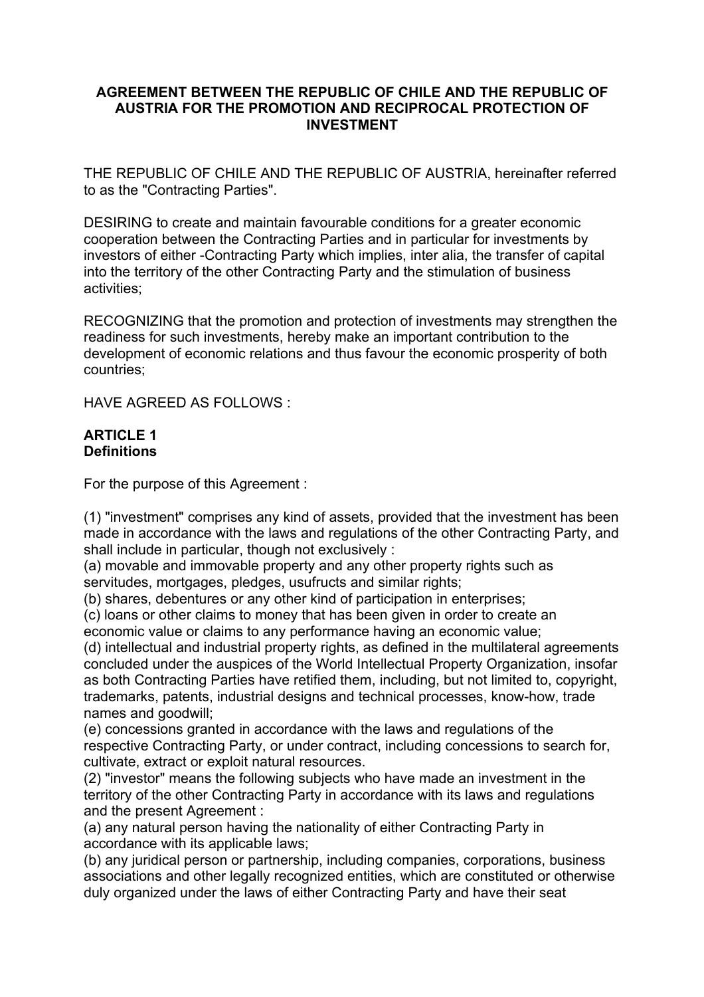#### **AGREEMENT BETWEEN THE REPUBLIC OF CHILE AND THE REPUBLIC OF AUSTRIA FOR THE PROMOTION AND RECIPROCAL PROTECTION OF INVESTMENT**

THE REPUBLIC OF CHILE AND THE REPUBLIC OF AUSTRIA, hereinafter referred to as the "Contracting Parties".

DESIRING to create and maintain favourable conditions for a greater economic cooperation between the Contracting Parties and in particular for investments by investors of either -Contracting Party which implies, inter alia, the transfer of capital into the territory of the other Contracting Party and the stimulation of business activities;

RECOGNIZING that the promotion and protection of investments may strengthen the readiness for such investments, hereby make an important contribution to the development of economic relations and thus favour the economic prosperity of both countries;

HAVE AGREED AS FOLLOWS :

#### **ARTICLE 1 Definitions**

For the purpose of this Agreement :

(1) "investment" comprises any kind of assets, provided that the investment has been made in accordance with the laws and regulations of the other Contracting Party, and shall include in particular, though not exclusively :

(a) movable and immovable property and any other property rights such as servitudes, mortgages, pledges, usufructs and similar rights;

(b) shares, debentures or any other kind of participation in enterprises;

(c) loans or other claims to money that has been given in order to create an

economic value or claims to any performance having an economic value;

(d) intellectual and industrial property rights, as defined in the multilateral agreements concluded under the auspices of the World Intellectual Property Organization, insofar as both Contracting Parties have retified them, including, but not limited to, copyright, trademarks, patents, industrial designs and technical processes, know-how, trade names and goodwill;

(e) concessions granted in accordance with the laws and regulations of the respective Contracting Party, or under contract, including concessions to search for, cultivate, extract or exploit natural resources.

(2) "investor" means the following subjects who have made an investment in the territory of the other Contracting Party in accordance with its laws and regulations and the present Agreement :

(a) any natural person having the nationality of either Contracting Party in accordance with its applicable laws;

(b) any juridical person or partnership, including companies, corporations, business associations and other legally recognized entities, which are constituted or otherwise duly organized under the laws of either Contracting Party and have their seat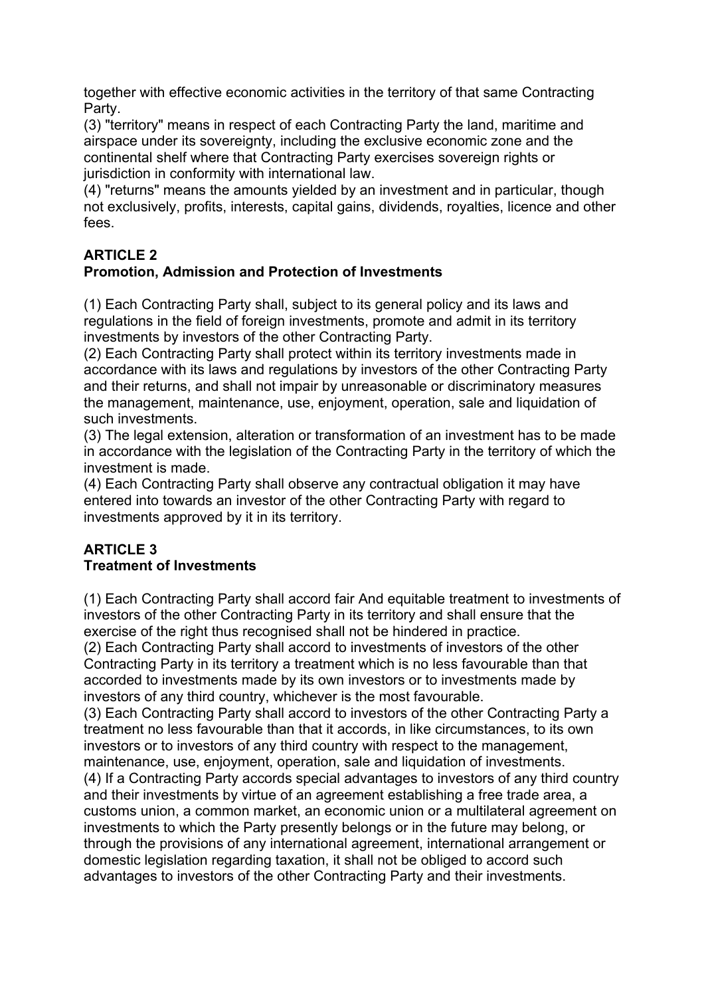together with effective economic activities in the territory of that same Contracting Party.

(3) "territory" means in respect of each Contracting Party the land, maritime and airspace under its sovereignty, including the exclusive economic zone and the continental shelf where that Contracting Party exercises sovereign rights or jurisdiction in conformity with international law.

(4) "returns" means the amounts yielded by an investment and in particular, though not exclusively, profits, interests, capital gains, dividends, royalties, licence and other fees.

### **ARTICLE 2**

### **Promotion, Admission and Protection of Investments**

(1) Each Contracting Party shall, subject to its general policy and its laws and regulations in the field of foreign investments, promote and admit in its territory investments by investors of the other Contracting Party.

(2) Each Contracting Party shall protect within its territory investments made in accordance with its laws and regulations by investors of the other Contracting Party and their returns, and shall not impair by unreasonable or discriminatory measures the management, maintenance, use, enjoyment, operation, sale and liquidation of such investments.

(3) The legal extension, alteration or transformation of an investment has to be made in accordance with the legislation of the Contracting Party in the territory of which the investment is made.

(4) Each Contracting Party shall observe any contractual obligation it may have entered into towards an investor of the other Contracting Party with regard to investments approved by it in its territory.

#### **ARTICLE 3 Treatment of Investments**

(1) Each Contracting Party shall accord fair And equitable treatment to investments of investors of the other Contracting Party in its territory and shall ensure that the exercise of the right thus recognised shall not be hindered in practice.

(2) Each Contracting Party shall accord to investments of investors of the other Contracting Party in its territory a treatment which is no less favourable than that accorded to investments made by its own investors or to investments made by investors of any third country, whichever is the most favourable.

(3) Each Contracting Party shall accord to investors of the other Contracting Party a treatment no less favourable than that it accords, in like circumstances, to its own investors or to investors of any third country with respect to the management, maintenance, use, enjoyment, operation, sale and liquidation of investments. (4) If a Contracting Party accords special advantages to investors of any third country and their investments by virtue of an agreement establishing a free trade area, a customs union, a common market, an economic union or a multilateral agreement on investments to which the Party presently belongs or in the future may belong, or through the provisions of any international agreement, international arrangement or domestic legislation regarding taxation, it shall not be obliged to accord such advantages to investors of the other Contracting Party and their investments.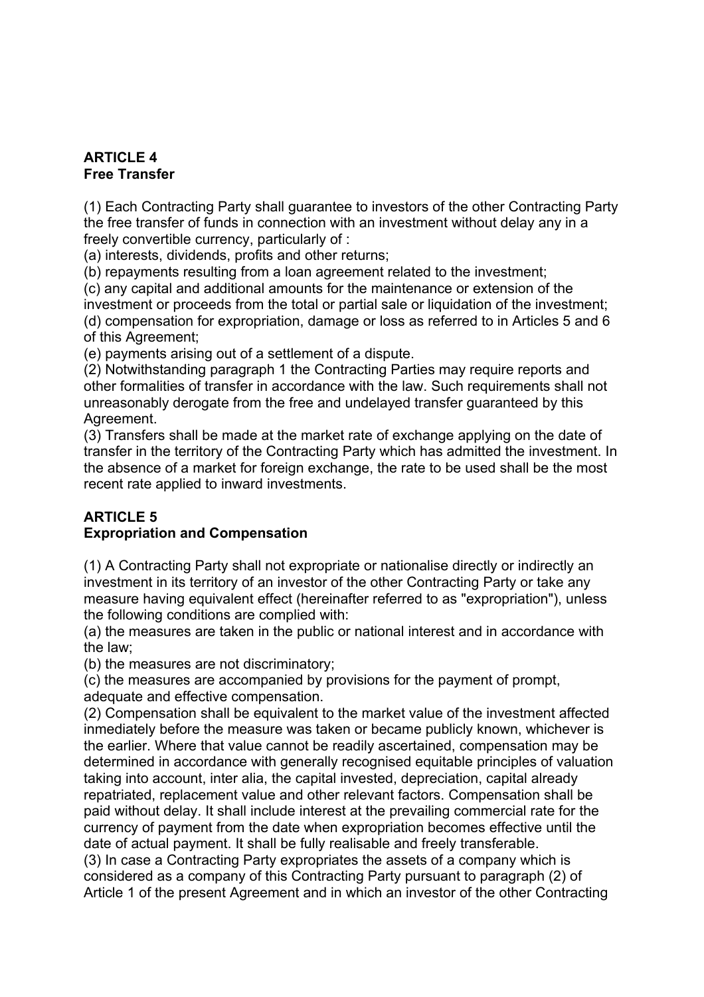### **ARTICLE 4 Free Transfer**

(1) Each Contracting Party shall guarantee to investors of the other Contracting Party the free transfer of funds in connection with an investment without delay any in a freely convertible currency, particularly of :

(a) interests, dividends, profits and other returns;

(b) repayments resulting from a loan agreement related to the investment;

(c) any capital and additional amounts for the maintenance or extension of the investment or proceeds from the total or partial sale or liquidation of the investment; (d) compensation for expropriation, damage or loss as referred to in Articles 5 and 6 of this Agreement;

(e) payments arising out of a settlement of a dispute.

(2) Notwithstanding paragraph 1 the Contracting Parties may require reports and other formalities of transfer in accordance with the law. Such requirements shall not unreasonably derogate from the free and undelayed transfer guaranteed by this Agreement.

(3) Transfers shall be made at the market rate of exchange applying on the date of transfer in the territory of the Contracting Party which has admitted the investment. In the absence of a market for foreign exchange, the rate to be used shall be the most recent rate applied to inward investments.

# **ARTICLE 5**

# **Expropriation and Compensation**

(1) A Contracting Party shall not expropriate or nationalise directly or indirectly an investment in its territory of an investor of the other Contracting Party or take any measure having equivalent effect (hereinafter referred to as "expropriation"), unless the following conditions are complied with:

(a) the measures are taken in the public or national interest and in accordance with the law;

(b) the measures are not discriminatory;

(c) the measures are accompanied by provisions for the payment of prompt, adequate and effective compensation.

(2) Compensation shall be equivalent to the market value of the investment affected inmediately before the measure was taken or became publicly known, whichever is the earlier. Where that value cannot be readily ascertained, compensation may be determined in accordance with generally recognised equitable principles of valuation taking into account, inter alia, the capital invested, depreciation, capital already repatriated, replacement value and other relevant factors. Compensation shall be paid without delay. It shall include interest at the prevailing commercial rate for the currency of payment from the date when expropriation becomes effective until the date of actual payment. It shall be fully realisable and freely transferable.

(3) In case a Contracting Party expropriates the assets of a company which is considered as a company of this Contracting Party pursuant to paragraph (2) of Article 1 of the present Agreement and in which an investor of the other Contracting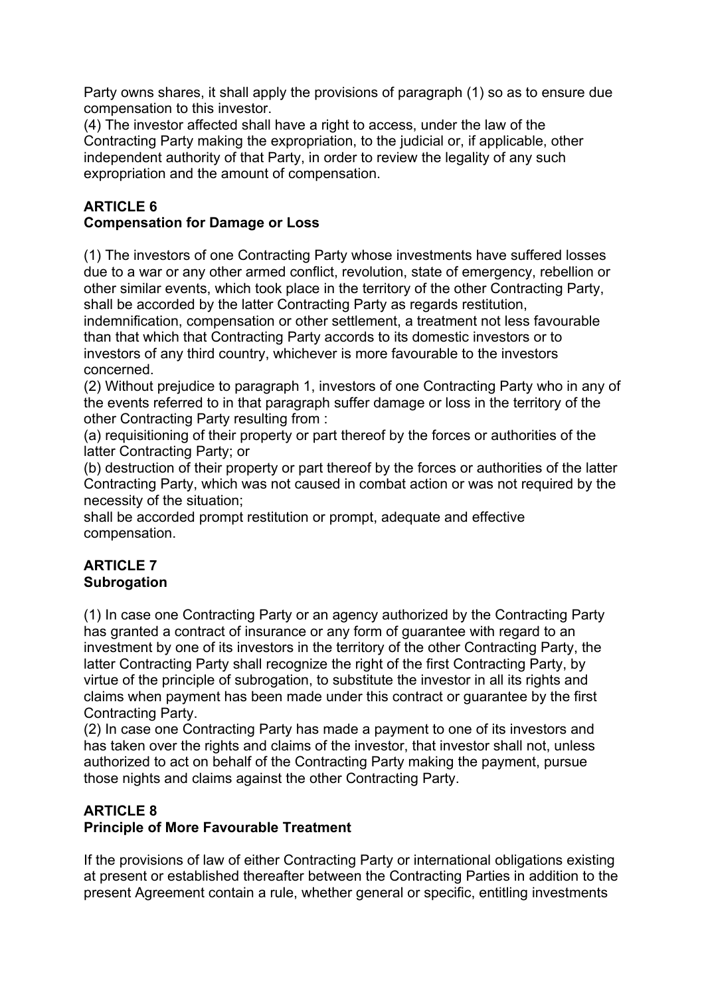Party owns shares, it shall apply the provisions of paragraph (1) so as to ensure due compensation to this investor.

(4) The investor affected shall have a right to access, under the law of the Contracting Party making the expropriation, to the judicial or, if applicable, other independent authority of that Party, in order to review the legality of any such expropriation and the amount of compensation.

#### **ARTICLE 6 Compensation for Damage or Loss**

(1) The investors of one Contracting Party whose investments have suffered losses due to a war or any other armed conflict, revolution, state of emergency, rebellion or other similar events, which took place in the territory of the other Contracting Party, shall be accorded by the latter Contracting Party as regards restitution,

indemnification, compensation or other settlement, a treatment not less favourable than that which that Contracting Party accords to its domestic investors or to investors of any third country, whichever is more favourable to the investors concerned.

(2) Without prejudice to paragraph 1, investors of one Contracting Party who in any of the events referred to in that paragraph suffer damage or loss in the territory of the other Contracting Party resulting from :

(a) requisitioning of their property or part thereof by the forces or authorities of the latter Contracting Party; or

(b) destruction of their property or part thereof by the forces or authorities of the latter Contracting Party, which was not caused in combat action or was not required by the necessity of the situation;

shall be accorded prompt restitution or prompt, adequate and effective compensation.

#### **ARTICLE 7 Subrogation**

(1) In case one Contracting Party or an agency authorized by the Contracting Party has granted a contract of insurance or any form of guarantee with regard to an investment by one of its investors in the territory of the other Contracting Party, the latter Contracting Party shall recognize the right of the first Contracting Party, by virtue of the principle of subrogation, to substitute the investor in all its rights and claims when payment has been made under this contract or guarantee by the first Contracting Party.

(2) In case one Contracting Party has made a payment to one of its investors and has taken over the rights and claims of the investor, that investor shall not, unless authorized to act on behalf of the Contracting Party making the payment, pursue those nights and claims against the other Contracting Party.

# **ARTICLE 8**

# **Principle of More Favourable Treatment**

If the provisions of law of either Contracting Party or international obligations existing at present or established thereafter between the Contracting Parties in addition to the present Agreement contain a rule, whether general or specific, entitling investments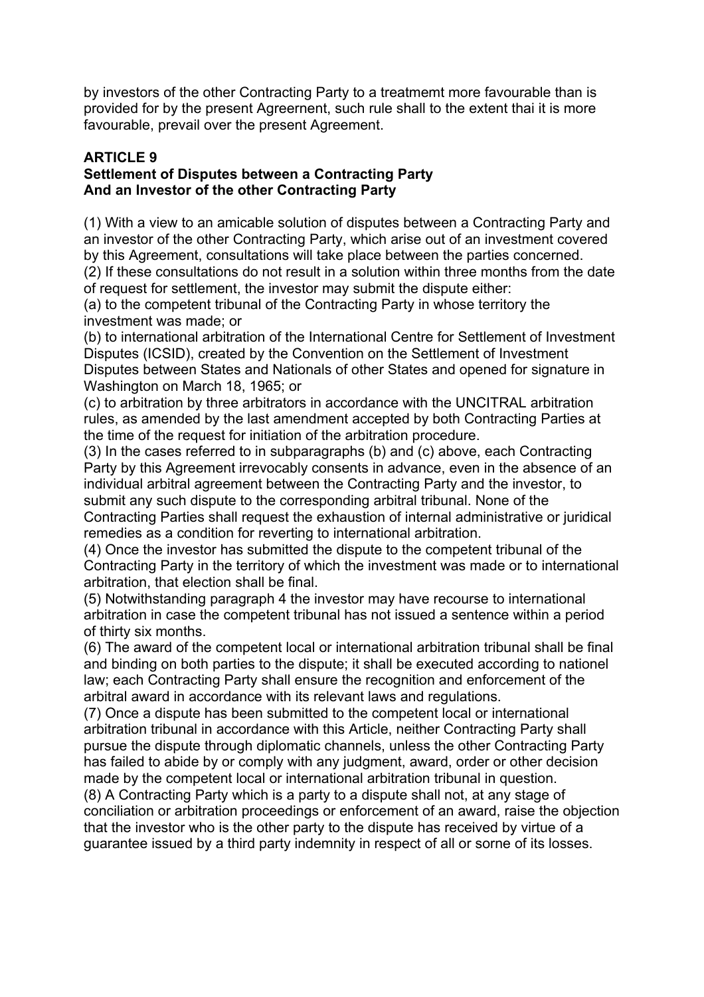by investors of the other Contracting Party to a treatmemt more favourable than is provided for by the present Agreernent, such rule shall to the extent thai it is more favourable, prevail over the present Agreement.

#### **ARTICLE 9 Settlement of Disputes between a Contracting Party And an Investor of the other Contracting Party**

(1) With a view to an amicable solution of disputes between a Contracting Party and an investor of the other Contracting Party, which arise out of an investment covered by this Agreement, consultations will take place between the parties concerned.

(2) If these consultations do not result in a solution within three months from the date of request for settlement, the investor may submit the dispute either:

(a) to the competent tribunal of the Contracting Party in whose territory the investment was made; or

(b) to international arbitration of the International Centre for Settlement of Investment Disputes (ICSID), created by the Convention on the Settlement of Investment Disputes between States and Nationals of other States and opened for signature in Washington on March 18, 1965; or

(c) to arbitration by three arbitrators in accordance with the UNCITRAL arbitration rules, as amended by the last amendment accepted by both Contracting Parties at the time of the request for initiation of the arbitration procedure.

(3) In the cases referred to in subparagraphs (b) and (c) above, each Contracting Party by this Agreement irrevocably consents in advance, even in the absence of an individual arbitral agreement between the Contracting Party and the investor, to submit any such dispute to the corresponding arbitral tribunal. None of the Contracting Parties shall request the exhaustion of internal administrative or juridical remedies as a condition for reverting to international arbitration.

(4) Once the investor has submitted the dispute to the competent tribunal of the Contracting Party in the territory of which the investment was made or to international arbitration, that election shall be final.

(5) Notwithstanding paragraph 4 the investor may have recourse to international arbitration in case the competent tribunal has not issued a sentence within a period of thirty six months.

(6) The award of the competent local or international arbitration tribunal shall be final and binding on both parties to the dispute; it shall be executed according to nationel law; each Contracting Party shall ensure the recognition and enforcement of the arbitral award in accordance with its relevant laws and regulations.

(7) Once a dispute has been submitted to the competent local or international arbitration tribunal in accordance with this Article, neither Contracting Party shall pursue the dispute through diplomatic channels, unless the other Contracting Party has failed to abide by or comply with any judgment, award, order or other decision made by the competent local or international arbitration tribunal in question.

(8) A Contracting Party which is a party to a dispute shall not, at any stage of conciliation or arbitration proceedings or enforcement of an award, raise the objection that the investor who is the other party to the dispute has received by virtue of a guarantee issued by a third party indemnity in respect of all or sorne of its losses.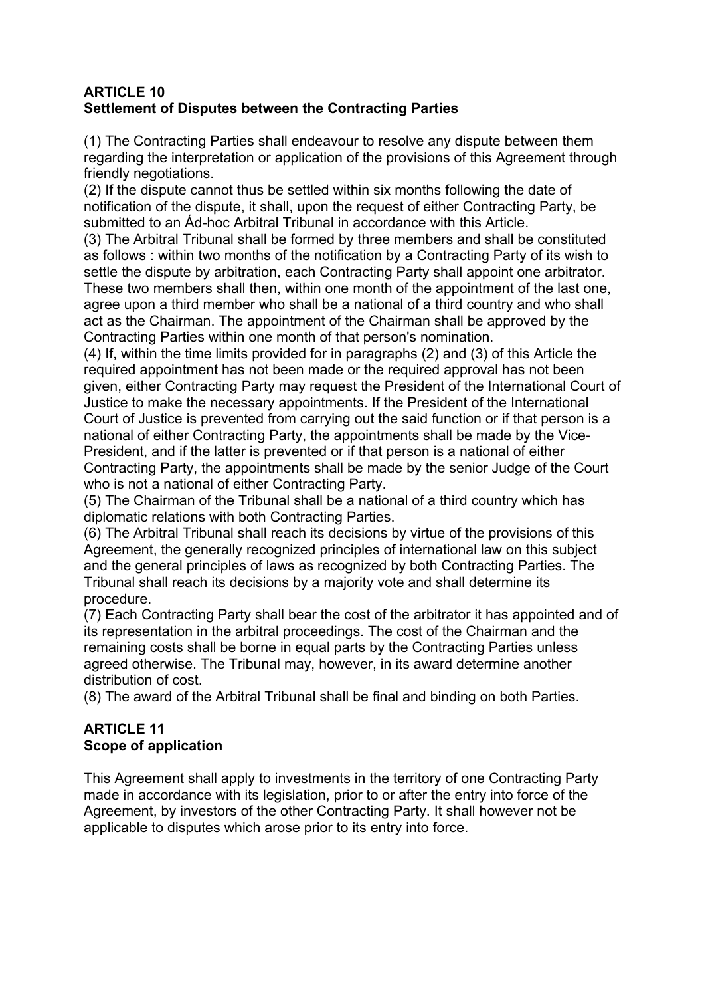### **ARTICLE 10 Settlement of Disputes between the Contracting Parties**

(1) The Contracting Parties shall endeavour to resolve any dispute between them regarding the interpretation or application of the provisions of this Agreement through friendly negotiations.

(2) If the dispute cannot thus be settled within six months following the date of notification of the dispute, it shall, upon the request of either Contracting Party, be submitted to an Ád-hoc Arbitral Tribunal in accordance with this Article.

(3) The Arbitral Tribunal shall be formed by three members and shall be constituted as follows : within two months of the notification by a Contracting Party of its wish to settle the dispute by arbitration, each Contracting Party shall appoint one arbitrator. These two members shall then, within one month of the appointment of the last one, agree upon a third member who shall be a national of a third country and who shall act as the Chairman. The appointment of the Chairman shall be approved by the Contracting Parties within one month of that person's nomination.

(4) If, within the time limits provided for in paragraphs (2) and (3) of this Article the required appointment has not been made or the required approval has not been given, either Contracting Party may request the President of the International Court of Justice to make the necessary appointments. If the President of the International Court of Justice is prevented from carrying out the said function or if that person is a national of either Contracting Party, the appointments shall be made by the Vice-President, and if the latter is prevented or if that person is a national of either Contracting Party, the appointments shall be made by the senior Judge of the Court who is not a national of either Contracting Party.

(5) The Chairman of the Tribunal shall be a national of a third country which has diplomatic relations with both Contracting Parties.

(6) The Arbitral Tribunal shall reach its decisions by virtue of the provisions of this Agreement, the generally recognized principles of international law on this subject and the general principles of laws as recognized by both Contracting Parties. The Tribunal shall reach its decisions by a majority vote and shall determine its procedure.

(7) Each Contracting Party shall bear the cost of the arbitrator it has appointed and of its representation in the arbitral proceedings. The cost of the Chairman and the remaining costs shall be borne in equal parts by the Contracting Parties unless agreed otherwise. The Tribunal may, however, in its award determine another distribution of cost.

(8) The award of the Arbitral Tribunal shall be final and binding on both Parties.

# **ARTICLE 11 Scope of application**

This Agreement shall apply to investments in the territory of one Contracting Party made in accordance with its legislation, prior to or after the entry into force of the Agreement, by investors of the other Contracting Party. It shall however not be applicable to disputes which arose prior to its entry into force.